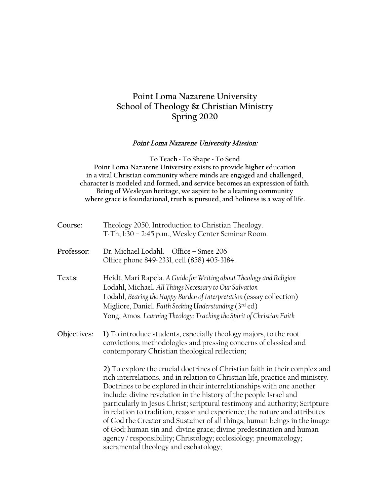# **Point Loma Nazarene University School of Theology & Christian Ministry Spring 2020**

#### Point Loma Nazarene University Mission:

**To Teach ~ To Shape ~ To Send Point Loma Nazarene University exists to provide higher education in a vital Christian community where minds are engaged and challenged, character is modeled and formed, and service becomes an expression of faith. Being of Wesleyan heritage, we aspire to be a learning community where grace is foundational, truth is pursued, and holiness is a way of life.**

| Course:     | Theology 2050. Introduction to Christian Theology.<br>T-Th, 1:30 - 2:45 p.m., Wesley Center Seminar Room.                                                                                                                                                                                                                                                                                                                                                                                                                                                                                                                                                                                                                                   |
|-------------|---------------------------------------------------------------------------------------------------------------------------------------------------------------------------------------------------------------------------------------------------------------------------------------------------------------------------------------------------------------------------------------------------------------------------------------------------------------------------------------------------------------------------------------------------------------------------------------------------------------------------------------------------------------------------------------------------------------------------------------------|
| Professor:  | Dr. Michael Lodahl. Office - Smee 206<br>Office phone 849-2331, cell (858) 405-3184.                                                                                                                                                                                                                                                                                                                                                                                                                                                                                                                                                                                                                                                        |
| Texts:      | Heidt, Mari Rapela. A Guide for Writing about Theology and Religion<br>Lodahl, Michael. All Things Necessary to Our Salvation<br>Lodahl, Bearing the Happy Burden of Interpretation (essay collection)<br>Migliore, Daniel. Faith Seeking Understanding (3rd ed)<br>Yong, Amos. Learning Theology: Tracking the Spirit of Christian Faith                                                                                                                                                                                                                                                                                                                                                                                                   |
| Objectives: | 1) To introduce students, especially theology majors, to the root<br>convictions, methodologies and pressing concerns of classical and<br>contemporary Christian theological reflection;                                                                                                                                                                                                                                                                                                                                                                                                                                                                                                                                                    |
|             | 2) To explore the crucial doctrines of Christian faith in their complex and<br>rich interrelations, and in relation to Christian life, practice and ministry.<br>Doctrines to be explored in their interrelationships with one another<br>include: divine revelation in the history of the people Israel and<br>particularly in Jesus Christ; scriptural testimony and authority; Scripture<br>in relation to tradition, reason and experience; the nature and attributes<br>of God the Creator and Sustainer of all things; human beings in the image<br>of God; human sin and divine grace; divine predestination and human<br>agency / responsibility; Christology; ecclesiology; pneumatology;<br>sacramental theology and eschatology; |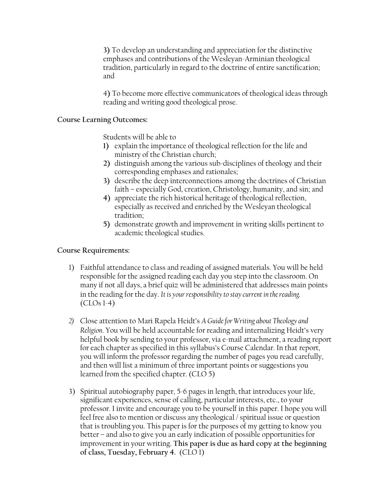**3)** To develop an understanding and appreciation for the distinctive emphases and contributions of the Wesleyan-Arminian theological tradition, particularly in regard to the doctrine of entire sanctification; and

4**)** To become more effective communicators of theological ideas through reading and writing good theological prose.

#### **Course Learning Outcomes:**

Students will be able to

- **1)** explain the importance of theological reflection for the life and ministry of the Christian church;
- **2)** distinguish among the various sub-disciplines of theology and their corresponding emphases and rationales;
- **3)** describe the deep interconnections among the doctrines of Christian faith – especially God, creation, Christology, humanity, and sin; and
- **4)** appreciate the rich historical heritage of theological reflection, especially as received and enriched by the Wesleyan theological tradition;
- **5)** demonstrate growth and improvement in writing skills pertinent to academic theological studies.

#### **Course Requirements:**

- 1) Faithful attendance to class and reading of assigned materials. You will be held responsible for the assigned reading each day you step into the classroom. On many if not all days, a brief quiz will be administered that addresses main points in the reading for the day. *It is your responsibility to stay current in the reading.*  $(CLOs 1-4)$
- *2)* Close attention to Mari Rapela Heidt's *A Guide for Writing about Theology and Religion*. You will be held accountable for reading and internalizing Heidt's very helpful book by sending to your professor, via e-mail attachment, a reading report for each chapter as specified in this syllabus's Course Calendar. In that report, you will inform the professor regarding the number of pages you read carefully, and then will list a minimum of three important points or suggestions you learned from the specified chapter. (CLO 5)
- 3) Spiritual autobiography paper, 5-6 pages in length, that introduces your life, significant experiences, sense of calling, particular interests, etc., to your professor. I invite and encourage you to be yourself in this paper. I hope you will feel free also to mention or discuss any theological / spiritual issue or question that is troubling you. This paper is for the purposes of my getting to know you better – and also to give you an early indication of possible opportunities for improvement in your writing. **This paper is due as hard copy at the beginning of class, Tuesday, February 4.** (CLO 1)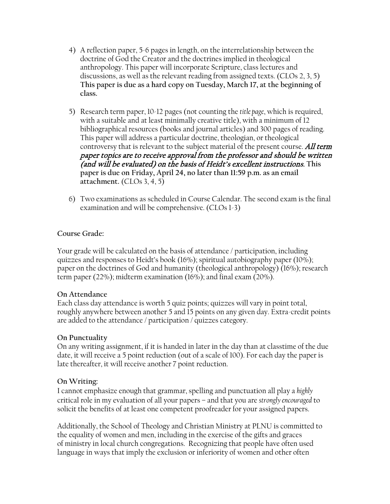- 4) A reflection paper, 5-6 pages in length, on the interrelationship between the doctrine of God the Creator and the doctrines implied in theological anthropology. This paper will incorporate Scripture, class lectures and discussions, as well as the relevant reading from assigned texts. (CLOs 2, 3, 5) **This paper is due as a hard copy on Tuesday, March 17, at the beginning of class.**
- 5) Research term paper, 10-12 pages (not counting the *title page*, which is required, with a suitable and at least minimally creative title), with a minimum of 12 bibliographical resources (books and journal articles) and 300 pages of reading. This paper will address a particular doctrine, theologian, or theological controversy that is relevant to the subject material of the present course. All term paper topics are to receive approval from the professor and should be written (and will be evaluated) on the basis of Heidt's excellent instructions. **This paper is due on Friday, April 24, no later than 11:59 p.m. as an email attachment.** (CLOs 3, 4, 5)
- 6) Two examinations as scheduled in Course Calendar. The second exam is the final examination and will be comprehensive. (CLOs 1-3)

#### **Course Grade:**

Your grade will be calculated on the basis of attendance / participation, including quizzes and responses to Heidt's book (16%); spiritual autobiography paper (10%); paper on the doctrines of God and humanity (theological anthropology) (16%); research term paper (22%); midterm examination (16%); and final exam (20%).

#### **On Attendance**

Each class day attendance is worth 5 quiz points; quizzes will vary in point total, roughly anywhere between another 5 and 15 points on any given day. Extra-credit points are added to the attendance / participation / quizzes category.

#### **On Punctuality**

On any writing assignment, if it is handed in later in the day than at classtime of the due date, it will receive a 5 point reduction (out of a scale of 100). For each day the paper is late thereafter, it will receive another 7 point reduction.

#### **On Writing:**

I cannot emphasize enough that grammar, spelling and punctuation all play a *highly*  critical role in my evaluation of all your papers – and that you are *strongly encouraged* to solicit the benefits of at least one competent proofreader for your assigned papers.

Additionally, the School of Theology and Christian Ministry at PLNU is committed to the equality of women and men, including in the exercise of the gifts and graces of ministry in local church congregations. Recognizing that people have often used language in ways that imply the exclusion or inferiority of women and other often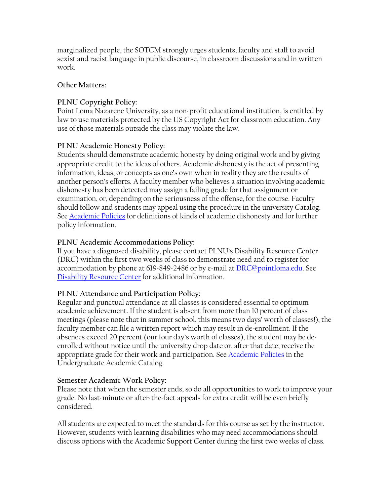marginalized people, the SOTCM strongly urges students, faculty and staff to avoid sexist and racist language in public discourse, in classroom discussions and in written work.

### **Other Matters:**

## **PLNU Copyright Policy:**

Point Loma Nazarene University, as a non-profit educational institution, is entitled by law to use materials protected by the US Copyright Act for classroom education. Any use of those materials outside the class may violate the law.

### **PLNU Academic Honesty Policy:**

Students should demonstrate academic honesty by doing original work and by giving appropriate credit to the ideas of others. Academic *dis*honesty is the act of presenting information, ideas, or concepts as one's own when in reality they are the results of another person's efforts. A faculty member who believes a situation involving academic dishonesty has been detected may assign a failing grade for that assignment or examination, or, depending on the seriousness of the offense, for the course. Faculty should follow and students may appeal using the procedure in the university Catalog. See **[Academic Policies](http://catalog.pointloma.edu/content.php?catoid=18&navoid=1278)** for definitions of kinds of academic dishonesty and for further policy information.

### **PLNU Academic Accommodations Policy:**

If you have a diagnosed disability, please contact PLNU's Disability Resource Center (DRC) within the first two weeks of class to demonstrate need and to register for accommodation by phone at 619-849-2486 or by e-mail at [DRC@pointloma.edu.](mailto:DRC@pointloma.edu) See [Disability Resource Center](http://www.pointloma.edu/experience/offices/administrative-offices/academic-advising-office/disability-resource-center) for additional information.

#### **PLNU Attendance and Participation Policy:**

Regular and punctual attendance at all classes is considered essential to optimum academic achievement. If the student is absent from more than 10 percent of class meetings (please note that in summer school, this means two days' worth of classes!), the faculty member can file a written report which may result in de-enrollment. If the absences exceed 20 percent (our four day's worth of classes), the student may be deenrolled without notice until the university drop date or, after that date, receive the appropriate grade for their work and participation. See [Academic Policies](http://catalog.pointloma.edu/content.php?catoid=18&navoid=1278) in the Undergraduate Academic Catalog.

#### **Semester Academic Work Policy:**

Please note that when the semester ends, so do all opportunities to work to improve your grade. No last-minute or after-the-fact appeals for extra credit will be even briefly considered.

All students are expected to meet the standards for this course as set by the instructor. However, students with learning disabilities who may need accommodations should discuss options with the Academic Support Center during the first two weeks of class.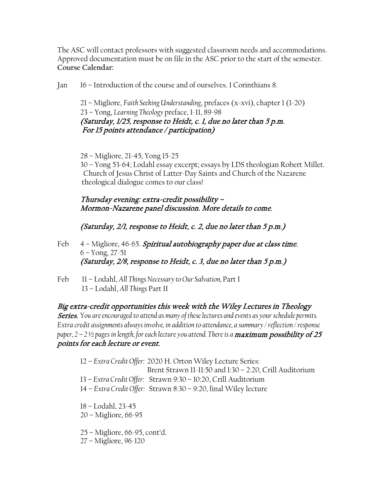The ASC will contact professors with suggested classroom needs and accommodations. Approved documentation must be on file in the ASC prior to the start of the semester. **Course Calendar:**

Jan 16 – Introduction of the course and of ourselves. 1 Corinthians 8.

21 – Migliore, *Faith Seeking Understanding*, prefaces (x-xvi), chapter 1 (1-20) 23 – Yong, *Learning Theology* preface, 1-11, 89-98 (Saturday, 1/25, response to Heidt, c. 1, due no later than 5 p.m. For 15 points attendance / participation)

28 – Migliore, 21-45; Yong 15-25

30 – Yong 53-64; Lodahl essay excerpt; essays by LDS theologian Robert Millet. Church of Jesus Christ of Latter-Day Saints and Church of the Nazarene theological dialogue comes to our class!

Thursday evening: extra-credit possibility – Mormon-Nazarene panel discussion. More details to come.

(Saturday, 2/1, response to Heidt, c. 2, due no later than 5 p.m.)

- Feb 4 Migliore, 46-65. Spiritual autobiography paper due at class time. 6 – Yong, 27-51 (Saturday, 2/8, response to Heidt, c. 3, due no later than 5 p.m.)
- Feb 11 Lodahl, *All Things Necessary to Our Salvation,* Part I 13 – Lodahl, *All Things* Part II

Big extra-credit opportunities this week with the Wiley Lectures in Theology Series. *You are encouraged to attend as many of these lectures and events as your schedule permits. Extra credit assignments always involve, in addition to attendance, a summary / reflection / response*  paper, 2 – 2 ½ pages in length, for each lecture you attend. There is a **maximum possibility of 25** points for each lecture or event.

- 12 *Extra Credit Offer:* 2020 H. Orton Wiley Lecture Series: Brent Strawn 11-11:50 and 1:30 – 2:20, Crill Auditorium 13 – *Extra Credit Offer:* Strawn 9:30 – 10:20, Crill Auditorium 14 – *Extra Credit Offer:* Strawn 8:30 – 9:20, final Wiley lecture 18 – Lodahl, 23-45 20 – Migliore, 66-95 25 – Migliore, 66-95, cont'd.
- 27 Migliore, 96-120